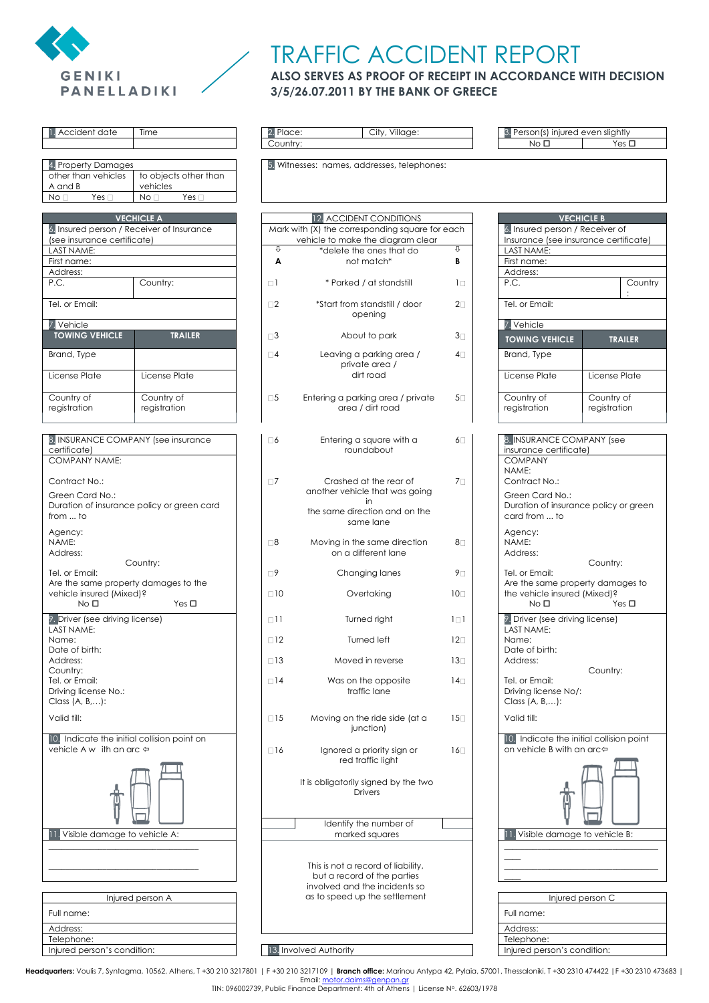

## TRAFFIC ACCIDENT REPORT

## **ALSO SERVES AS PROOF OF RECEIPT IN ACCORDANCE WITH DECISION 3/5/26.07.2011 BY THE BANK OF GREECE**

| Accident date                               | Time                                                           | 2. Place:<br>Country: | City, Village:                                                                       |                 | 3. Person(s)<br>No E         |
|---------------------------------------------|----------------------------------------------------------------|-----------------------|--------------------------------------------------------------------------------------|-----------------|------------------------------|
|                                             |                                                                |                       |                                                                                      |                 |                              |
| 4. Property Damages                         |                                                                |                       | 5. Witnesses: names, addresses, telephones:                                          |                 |                              |
| other than vehicles<br>A and B              | to objects other than<br>vehicles                              |                       |                                                                                      |                 |                              |
| No <sub>1</sub><br>Yes $\square$            | No <sub>1</sub><br>Yes $\square$                               |                       |                                                                                      |                 |                              |
|                                             |                                                                |                       |                                                                                      |                 |                              |
|                                             | <b>VECHICLE A</b><br>6. Insured person / Receiver of Insurance |                       | 12. ACCIDENT CONDITIONS                                                              |                 |                              |
| (see insurance certificate)                 |                                                                |                       | Mark with (X) the corresponding square for each<br>vehicle to make the diagram clear |                 | 6. Insured p<br>Insurance (  |
| LAST NAME:                                  |                                                                | ⇩                     | *delete the ones that do                                                             | ⇩               | <b>LAST NAME</b>             |
| First name:                                 |                                                                | A                     | not match*                                                                           | В               | First name:                  |
| Address:<br>P.C.                            | Country:                                                       | $\Box$ 1              | * Parked / at standstill                                                             | $1\Box$         | Address:<br>P.C.             |
|                                             |                                                                |                       |                                                                                      |                 |                              |
| Tel. or Email:                              |                                                                | $\square$ 2           | *Start from standstill / door                                                        | $2\square$      | Tel. or Emai                 |
| 7. Vehicle                                  |                                                                |                       | opening                                                                              |                 | 7. Vehicle                   |
| <b>TOWING VEHICLE</b>                       | <b>TRAILER</b>                                                 | $\square$ 3           | About to park                                                                        | $3\square$      | <b>TOWING VI</b>             |
| Brand, Type                                 |                                                                | $\square$             | Leaving a parking area /                                                             | $4\Box$         | Brand, Type                  |
|                                             |                                                                |                       | private area /                                                                       |                 |                              |
| License Plate                               | License Plate                                                  |                       | dirt road                                                                            |                 | License Pla                  |
| Country of                                  | Country of                                                     | $\square 5$           | Entering a parking area / private                                                    | $5\square$      | Country of                   |
| registration                                | registration                                                   |                       | area / dirt road                                                                     |                 | registration                 |
|                                             |                                                                |                       |                                                                                      |                 |                              |
|                                             | 8. INSURANCE COMPANY (see insurance                            | $\Box 6$              |                                                                                      |                 | 8. INSURAN                   |
| certificate)                                |                                                                |                       | Entering a square with a<br>roundabout                                               | 6 $\square$     | insurance o                  |
| <b>COMPANY NAME:</b>                        |                                                                |                       |                                                                                      |                 | <b>COMPANY</b>               |
| Contract No.:                               |                                                                | $\Box$ 7              | Crashed at the rear of                                                               | 7 <sub>1</sub>  | NAME:<br>Contract N          |
|                                             |                                                                |                       | another vehicle that was going                                                       |                 | Green Car                    |
| Green Card No.:                             | Duration of insurance policy or green card                     |                       | in                                                                                   |                 | Duration of                  |
| from  to                                    |                                                                |                       | the same direction and on the<br>same lane                                           |                 | card from.                   |
| Agency:                                     |                                                                |                       |                                                                                      |                 | Agency:                      |
| NAME:                                       |                                                                | $\square 8$           | Moving in the same direction                                                         | 8□              | NAME:                        |
| Address:                                    | Country:                                                       |                       | on a different lane                                                                  |                 | Address:                     |
| Tel. or Email:                              |                                                                | $\Box$ 9              | Changing lanes                                                                       | 9⊡              | Tel. or Emai                 |
| Are the same property damages to the        |                                                                |                       |                                                                                      |                 | Are the sar                  |
| vehicle insured (Mixed)?<br>No <sub>D</sub> | Yes $\Box$                                                     | $\Box$ 10             | Overtaking                                                                           | 10 <sub>1</sub> | the vehicle<br>No E          |
| 9. Driver (see driving license)             |                                                                | $\Box$                | Turned right                                                                         | $1 \square 1$   | 9. Driver (se                |
| LAST NAME:                                  |                                                                |                       |                                                                                      |                 | <b>LAST NAME</b>             |
| Name:                                       |                                                                | $\square$ 12          | Turned left                                                                          | $12\square$     | Name:                        |
| Date of birth:<br>Address:                  |                                                                | $\Box$ 13             | Moved in reverse                                                                     | $13\square$     | Date of birt<br>Address:     |
| Country:                                    |                                                                |                       |                                                                                      |                 |                              |
| Tel. or Email:                              |                                                                | $\Box$ 14             | Was on the opposite<br>traffic lane                                                  | $14\square$     | Tel. or Emai                 |
| Driving license No.:<br>Class (A, B,):      |                                                                |                       |                                                                                      |                 | Driving lice<br>Class (A, B, |
| Valid till:                                 |                                                                | $\Box$ 15             | Moving on the ride side (at a                                                        | $15\square$     | Valid till:                  |
|                                             |                                                                |                       | junction)                                                                            |                 |                              |
| 10. Indicate the initial collision point on |                                                                |                       |                                                                                      |                 | 10. Indicat                  |
| vehicle A w ith an arc $\Leftrightarrow$    |                                                                | $\Box$ 16             | Ignored a priority sign or<br>red traffic light                                      | $16\square$     | on vehicle                   |
|                                             |                                                                |                       |                                                                                      |                 |                              |
|                                             |                                                                |                       | It is obligatorily signed by the two                                                 |                 |                              |
|                                             |                                                                |                       | <b>Drivers</b>                                                                       |                 |                              |
|                                             |                                                                |                       |                                                                                      |                 |                              |
|                                             |                                                                |                       | Identify the number of                                                               |                 |                              |
| Visible damage to vehicle A:                |                                                                |                       | marked squares                                                                       |                 | 11. Visible o                |
|                                             |                                                                |                       |                                                                                      |                 |                              |
|                                             |                                                                |                       | This is not a record of liability,                                                   |                 |                              |
|                                             |                                                                |                       | but a record of the parties<br>involved and the incidents so                         |                 |                              |
|                                             | Injured person A                                               |                       | as to speed up the settlement                                                        |                 |                              |
| Full name:                                  |                                                                |                       |                                                                                      |                 | Full name:                   |
|                                             |                                                                |                       |                                                                                      |                 |                              |
| Address:<br>Telephone:                      |                                                                |                       |                                                                                      |                 | Address:<br>Telephone:       |
| Injured person's condition:                 |                                                                |                       | 13. Involved Authority                                                               |                 | Injured pers                 |

| Accident date                                 | Time                                       | 2. Place:   | City, Village:                                                 |                 | 3. Person(s) injured even slightly                       |                   |  |  |  |  |  |  |
|-----------------------------------------------|--------------------------------------------|-------------|----------------------------------------------------------------|-----------------|----------------------------------------------------------|-------------------|--|--|--|--|--|--|
|                                               |                                            | Country:    |                                                                |                 | No <sub>D</sub>                                          | Yes $\Box$        |  |  |  |  |  |  |
|                                               |                                            |             |                                                                |                 |                                                          |                   |  |  |  |  |  |  |
| 4. Property Damages<br>other than vehicles    | to objects other than                      |             | 5. Witnesses: names, addresses, telephones:                    |                 |                                                          |                   |  |  |  |  |  |  |
| A and B                                       | vehicles                                   |             |                                                                |                 |                                                          |                   |  |  |  |  |  |  |
| Yes $\square$<br>No □                         | Yes $\square$<br>No <sub>1</sub>           |             |                                                                |                 |                                                          |                   |  |  |  |  |  |  |
|                                               |                                            |             |                                                                |                 |                                                          |                   |  |  |  |  |  |  |
|                                               | <b>VECHICLE A</b>                          |             | 12. ACCIDENT CONDITIONS                                        |                 |                                                          | <b>VECHICLE B</b> |  |  |  |  |  |  |
|                                               | 6. Insured person / Receiver of Insurance  |             | Mark with (X) the corresponding square for each                |                 | 6. Insured person / Receiver of                          |                   |  |  |  |  |  |  |
| (see insurance certificate)                   |                                            |             | vehicle to make the diagram clear                              |                 | Insurance (see insurance certificate)                    |                   |  |  |  |  |  |  |
| LAST NAME:                                    |                                            | ⇩           | *delete the ones that do                                       | ⇩               | LAST NAME:                                               |                   |  |  |  |  |  |  |
| First name:                                   |                                            | Α           | not match*                                                     | В               | First name:                                              |                   |  |  |  |  |  |  |
| Address:                                      |                                            |             |                                                                |                 | Address:                                                 |                   |  |  |  |  |  |  |
| P.C.                                          | Country:                                   | $\Box$ 1    | * Parked / at standstill                                       | $1\square$      | P.C.                                                     | Country           |  |  |  |  |  |  |
| Tel. or Email:                                |                                            | $\square$   | *Start from standstill / door                                  | $2\square$      | Tel. or Email:                                           |                   |  |  |  |  |  |  |
|                                               |                                            |             | opening                                                        |                 |                                                          |                   |  |  |  |  |  |  |
| 7. Vehicle                                    |                                            |             |                                                                |                 | 7. Vehicle                                               |                   |  |  |  |  |  |  |
| <b>TOWING VEHICLE</b>                         | <b>TRAILER</b>                             | $\square 3$ | About to park                                                  | $3\square$      | <b>TOWING VEHICLE</b>                                    | <b>TRAILER</b>    |  |  |  |  |  |  |
|                                               |                                            |             |                                                                |                 |                                                          |                   |  |  |  |  |  |  |
| Brand, Type                                   |                                            | $\square$   | Leaving a parking area /<br>private area /                     | $4\square$      | Brand, Type                                              |                   |  |  |  |  |  |  |
| License Plate                                 | License Plate                              |             | dirt road                                                      |                 | License Plate                                            | License Plate     |  |  |  |  |  |  |
|                                               |                                            |             |                                                                |                 |                                                          |                   |  |  |  |  |  |  |
| Country of                                    | Country of                                 | $\square 5$ | Entering a parking area / private                              | $5\square$      | Country of                                               | Country of        |  |  |  |  |  |  |
| registration                                  | registration                               |             | area / dirt road                                               |                 | registration                                             | registration      |  |  |  |  |  |  |
|                                               |                                            |             |                                                                |                 |                                                          |                   |  |  |  |  |  |  |
|                                               |                                            |             |                                                                |                 |                                                          |                   |  |  |  |  |  |  |
| 8. INSURANCE COMPANY (see insurance           |                                            | $\square 6$ | Entering a square with a                                       | 6 $\Box$        | 8. INSURANCE COMPANY (see                                |                   |  |  |  |  |  |  |
| certificate)                                  |                                            |             | roundabout                                                     |                 | insurance certificate)                                   |                   |  |  |  |  |  |  |
| COMPANY NAME:                                 |                                            |             |                                                                |                 | <b>COMPANY</b>                                           |                   |  |  |  |  |  |  |
| Contract No.:                                 |                                            | $\Box$ 7    | Crashed at the rear of                                         | 7□              | NAME:<br>Contract No.:                                   |                   |  |  |  |  |  |  |
|                                               |                                            |             | another vehicle that was going                                 |                 |                                                          |                   |  |  |  |  |  |  |
| Green Card No.:                               | Duration of insurance policy or green card |             | in                                                             |                 | Green Card No.:<br>Duration of insurance policy or green |                   |  |  |  |  |  |  |
| from  to                                      |                                            |             | the same direction and on the                                  |                 | card from  to                                            |                   |  |  |  |  |  |  |
|                                               |                                            |             | same lane                                                      |                 |                                                          |                   |  |  |  |  |  |  |
| Agency:                                       |                                            |             |                                                                |                 | Agency:                                                  |                   |  |  |  |  |  |  |
| NAME:<br>Address:                             |                                            | $\square 8$ | Moving in the same direction<br>on a different lane            | 8□              | NAME:<br>Address:                                        |                   |  |  |  |  |  |  |
|                                               | Country:                                   |             |                                                                |                 |                                                          | Country:          |  |  |  |  |  |  |
| Tel. or Email:                                |                                            | $\Box$      | Changing lanes                                                 | 9⊡              | Tel. or Email:                                           |                   |  |  |  |  |  |  |
| Are the same property damages to the          |                                            |             |                                                                |                 | Are the same property damages to                         |                   |  |  |  |  |  |  |
| vehicle insured (Mixed)?                      |                                            | $\Box$ 10   | Overtaking                                                     | 10 <sub>1</sub> | the vehicle insured (Mixed)?                             |                   |  |  |  |  |  |  |
| No <sub>1</sub>                               | Yes $\Box$                                 |             |                                                                |                 | No <sub>D</sub>                                          | Yes $\Box$        |  |  |  |  |  |  |
| 9. Driver (see driving license)               |                                            | $\Box$ 11   | Turned right                                                   | $1 \square 1$   | 9. Driver (see driving license)                          |                   |  |  |  |  |  |  |
| LAST NAME:                                    |                                            |             |                                                                |                 | LAST NAME:                                               |                   |  |  |  |  |  |  |
| Name:                                         |                                            | $\Box$ 12   | Turned left                                                    | $12\square$     | Name:                                                    |                   |  |  |  |  |  |  |
| Date of birth:                                |                                            | $\Box$ 13   | Moved in reverse                                               |                 | Date of birth:                                           |                   |  |  |  |  |  |  |
| Address:<br>Country:                          |                                            |             |                                                                | $13\square$     | Address:                                                 | Country:          |  |  |  |  |  |  |
| Tel. or Email:                                |                                            | $\Box$ 14   | Was on the opposite                                            | $14\square$     | Tel. or Email:                                           |                   |  |  |  |  |  |  |
| Driving license No.:                          |                                            |             | traffic lane                                                   |                 | Driving license No/:                                     |                   |  |  |  |  |  |  |
| Class (A, B,):                                |                                            |             |                                                                |                 | Class $(A, B, \ldots)$ :                                 |                   |  |  |  |  |  |  |
| Valid till:                                   |                                            | $\Box$ 15   | Moving on the ride side (at a                                  | $15\square$     | Valid till:                                              |                   |  |  |  |  |  |  |
|                                               |                                            |             | junction)                                                      |                 |                                                          |                   |  |  |  |  |  |  |
| 10. Indicate the initial collision point on   |                                            |             |                                                                |                 | 10. Indicate the initial collision point                 |                   |  |  |  |  |  |  |
| vehicle A w $\,$ ith an arc $\Leftrightarrow$ |                                            | $\Box$ 16   | Ignored a priority sign or                                     | $16-$           | on vehicle B with an arc $\Leftrightarrow$               |                   |  |  |  |  |  |  |
|                                               |                                            |             | red traffic light                                              |                 |                                                          |                   |  |  |  |  |  |  |
|                                               |                                            |             |                                                                |                 |                                                          |                   |  |  |  |  |  |  |
|                                               |                                            |             | It is obligatorily signed by the two                           |                 |                                                          |                   |  |  |  |  |  |  |
|                                               |                                            |             | <b>Drivers</b>                                                 |                 |                                                          |                   |  |  |  |  |  |  |
|                                               |                                            |             |                                                                |                 |                                                          |                   |  |  |  |  |  |  |
|                                               |                                            |             | Identify the number of                                         |                 |                                                          |                   |  |  |  |  |  |  |
| Visible damage to vehicle A:                  |                                            |             | marked squares                                                 |                 | Visible damage to vehicle B:                             |                   |  |  |  |  |  |  |
|                                               |                                            |             |                                                                |                 |                                                          |                   |  |  |  |  |  |  |
|                                               |                                            |             |                                                                |                 |                                                          |                   |  |  |  |  |  |  |
|                                               |                                            |             | This is not a record of liability,                             |                 |                                                          |                   |  |  |  |  |  |  |
|                                               |                                            |             | but a record of the parties                                    |                 |                                                          |                   |  |  |  |  |  |  |
|                                               | Injured person A                           |             | involved and the incidents so<br>as to speed up the settlement |                 |                                                          |                   |  |  |  |  |  |  |
|                                               |                                            |             |                                                                |                 | Injured person C                                         |                   |  |  |  |  |  |  |
| Full name:                                    |                                            |             |                                                                |                 | Full name:                                               |                   |  |  |  |  |  |  |
| Address:                                      |                                            |             |                                                                |                 | Address:                                                 |                   |  |  |  |  |  |  |
| Telenhone <sup>.</sup>                        |                                            |             |                                                                |                 | Telephone:                                               |                   |  |  |  |  |  |  |

|                | <b>VECHICLE B</b>                     |               |                |  |  |  |  |  |  |  |  |  |  |
|----------------|---------------------------------------|---------------|----------------|--|--|--|--|--|--|--|--|--|--|
| ch             | 6. Insured person / Receiver of       |               |                |  |  |  |  |  |  |  |  |  |  |
|                | Insurance (see insurance certificate) |               |                |  |  |  |  |  |  |  |  |  |  |
| Û              | LAST NAME:                            |               |                |  |  |  |  |  |  |  |  |  |  |
| B              | First name:                           |               |                |  |  |  |  |  |  |  |  |  |  |
|                | Address:                              |               |                |  |  |  |  |  |  |  |  |  |  |
| $1\Box$        | P.C.                                  |               | Country        |  |  |  |  |  |  |  |  |  |  |
|                |                                       |               |                |  |  |  |  |  |  |  |  |  |  |
| $2\square$     | Tel. or Email:                        |               |                |  |  |  |  |  |  |  |  |  |  |
|                |                                       |               |                |  |  |  |  |  |  |  |  |  |  |
|                | Vehicle                               |               |                |  |  |  |  |  |  |  |  |  |  |
| $3\square$     | <b>TOWING VEHICLE</b>                 |               | <b>TRAILER</b> |  |  |  |  |  |  |  |  |  |  |
| 4 <sub>1</sub> | Brand, Type                           |               |                |  |  |  |  |  |  |  |  |  |  |
|                |                                       |               |                |  |  |  |  |  |  |  |  |  |  |
|                | License Plate                         | License Plate |                |  |  |  |  |  |  |  |  |  |  |
|                |                                       |               |                |  |  |  |  |  |  |  |  |  |  |
| 5 <sub>1</sub> | Country of                            | Country of    |                |  |  |  |  |  |  |  |  |  |  |
|                | registration                          | registration  |                |  |  |  |  |  |  |  |  |  |  |

| $\Box 6$    | Entering a square with a<br>roundabout                            | 60              | 8. INSURANCE COMPANY (see<br>insurance certificate)                                               |
|-------------|-------------------------------------------------------------------|-----------------|---------------------------------------------------------------------------------------------------|
|             |                                                                   |                 | <b>COMPANY</b>                                                                                    |
| $\square$ 7 | Crashed at the rear of                                            | 70              | NAME:<br>Contract No.:                                                                            |
|             | another vehicle that was going<br>in                              |                 | Green Card No.:                                                                                   |
|             | the same direction and on the<br>same lane                        |                 | Duration of insurance policy or green<br>card from  to                                            |
| $\square 8$ | Moving in the same direction<br>on a different lane               | 8□              | Agency:<br>NAME:<br>Address:<br>Country:                                                          |
| $\square$   | Changing lanes                                                    | 9⊡              | Tel. or Email:                                                                                    |
| $\Box$ 10   | Overtaking                                                        | $10\square$     | Are the same property damages to<br>the vehicle insured (Mixed)?<br>No <sub>D</sub><br>Yes $\Box$ |
| $\Box$ 11   | Turned right                                                      | $1 \square 1$   | 9. Driver (see driving license)<br>LAST NAME:                                                     |
| $\Box$ 12   | Turned left                                                       | $12\square$     | Name:<br>Date of birth:                                                                           |
| $\Box$ 13   | Moved in reverse                                                  | $13-$           | Address:                                                                                          |
| $\Box$ 14   | Was on the opposite<br>traffic lane                               | $14\square$     | Country:<br>Tel. or Email:<br>Driving license No/:<br>Class (A, B, ):                             |
| $\Box$ 15   | Moving on the ride side (at a<br>junction)                        | $15\square$     | Valid till:                                                                                       |
| $\Box$ 16   | Ignored a priority sign or<br>red traffic light                   | 16 <sup>7</sup> | 10. Indicate the initial collision point<br>on vehicle B with an arc $\Leftrightarrow$            |
|             | It is obligatorily signed by the two<br><b>Drivers</b>            |                 |                                                                                                   |
|             | Identify the number of                                            |                 |                                                                                                   |
|             | marked squares                                                    |                 | 11. Visible damage to vehicle B:                                                                  |
|             |                                                                   |                 |                                                                                                   |
|             | This is not a record of liability,<br>but a record of the parties |                 |                                                                                                   |
|             | involved and the incidents so                                     |                 |                                                                                                   |
|             | as to speed up the settlement                                     |                 | Injured person C                                                                                  |
|             |                                                                   |                 | Full name:                                                                                        |
|             |                                                                   |                 | Address:                                                                                          |
|             |                                                                   |                 | Telephone:                                                                                        |
|             | 13. Involved Authority                                            |                 | Injured person's condition:                                                                       |

**Headquarters:** Voulis 7, Syntagma, 10562, Athens, Τ +30 210 3217801 | F +30 210 3217109 | **Βranch office:** Marinou Antypa 42, Pylaia, 57001, Thessaloniki, Τ +30 2310 474422 |F +30 2310 473683 |